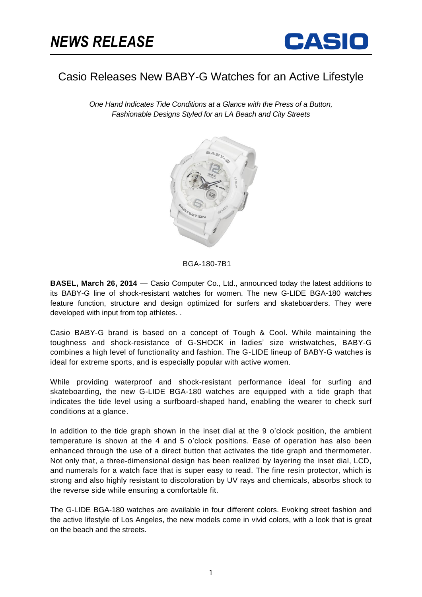

## Casio Releases New BABY-G Watches for an Active Lifestyle

*One Hand Indicates Tide Conditions at a Glance with the Press of a Button, Fashionable Designs Styled for an LA Beach and City Streets*



BGA-180-7B1

**BASEL, March 26, 2014** — Casio Computer Co., Ltd., announced today the latest additions to its BABY-G line of shock-resistant watches for women. The new G-LIDE BGA-180 watches feature function, structure and design optimized for surfers and skateboarders. They were developed with input from top athletes. .

Casio BABY-G brand is based on a concept of Tough & Cool. While maintaining the toughness and shock-resistance of G-SHOCK in ladies' size wristwatches, BABY-G combines a high level of functionality and fashion. The G-LIDE lineup of BABY-G watches is ideal for extreme sports, and is especially popular with active women.

While providing waterproof and shock-resistant performance ideal for surfing and skateboarding, the new G-LIDE BGA-180 watches are equipped with a tide graph that indicates the tide level using a surfboard-shaped hand, enabling the wearer to check surf conditions at a glance.

In addition to the tide graph shown in the inset dial at the 9 o'clock position, the ambient temperature is shown at the 4 and 5 o'clock positions. Ease of operation has also been enhanced through the use of a direct button that activates the tide graph and thermometer. Not only that, a three-dimensional design has been realized by layering the inset dial, LCD, and numerals for a watch face that is super easy to read. The fine resin protector, which is strong and also highly resistant to discoloration by UV rays and chemicals, absorbs shock to the reverse side while ensuring a comfortable fit.

The G-LIDE BGA-180 watches are available in four different colors. Evoking street fashion and the active lifestyle of Los Angeles, the new models come in vivid colors, with a look that is great on the beach and the streets.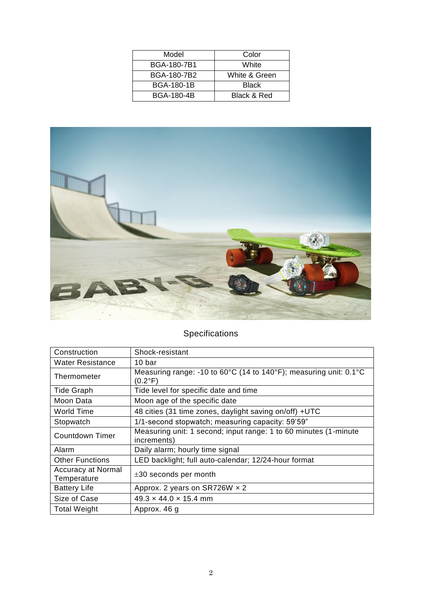| Model             | Color         |
|-------------------|---------------|
| BGA-180-7B1       | White         |
| BGA-180-7B2       | White & Green |
| <b>BGA-180-1B</b> | <b>Black</b>  |
| <b>BGA-180-4B</b> | Black & Red   |



## Specifications

| Construction                             | Shock-resistant                                                                 |
|------------------------------------------|---------------------------------------------------------------------------------|
| Water Resistance                         | 10 bar                                                                          |
| Thermometer                              | Measuring range: -10 to 60°C (14 to 140°F); measuring unit: 0.1°C<br>(0.2°F)    |
| <b>Tide Graph</b>                        | Tide level for specific date and time                                           |
| Moon Data                                | Moon age of the specific date                                                   |
| World Time                               | 48 cities (31 time zones, daylight saving on/off) +UTC                          |
| Stopwatch                                | 1/1-second stopwatch; measuring capacity: 59'59"                                |
| <b>Countdown Timer</b>                   | Measuring unit: 1 second; input range: 1 to 60 minutes (1-minute<br>increments) |
| Alarm                                    | Daily alarm; hourly time signal                                                 |
| <b>Other Functions</b>                   | LED backlight; full auto-calendar; 12/24-hour format                            |
| <b>Accuracy at Normal</b><br>Temperature | $\pm 30$ seconds per month                                                      |
| <b>Battery Life</b>                      | Approx. 2 years on SR726W $\times$ 2                                            |
| Size of Case                             | $49.3 \times 44.0 \times 15.4$ mm                                               |
| <b>Total Weight</b>                      | Approx. 46 g                                                                    |